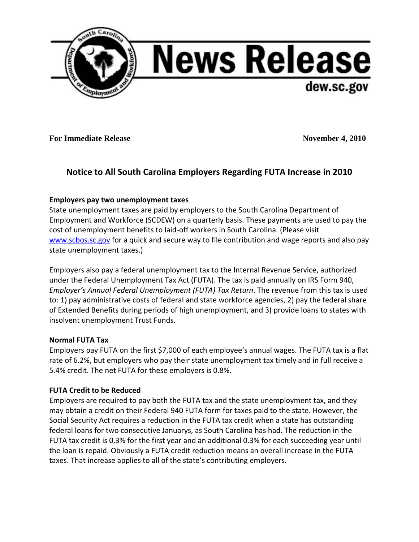

**For Immediate Release November 4, 2010** 

# **Notice to All South Carolina Employers Regarding FUTA Increase in 2010**

## **Employers pay two unemployment taxes**

State unemployment taxes are paid by employers to the South Carolina Department of Employment and Workforce (SCDEW) on a quarterly basis. These payments are used to pay the cost of unemployment benefits to laid-off workers in South Carolina. (Please visit [www.scbos.sc.gov](http://www.scbos.sc.gov/) for a quick and secure way to file contribution and wage reports and also pay state unemployment taxes.)

Employers also pay a federal unemployment tax to the Internal Revenue Service, authorized under the Federal Unemployment Tax Act (FUTA). The tax is paid annually on IRS Form 940, *Employer's Annual Federal Unemployment (FUTA) Tax Return*. The revenue from this tax is used to: 1) pay administrative costs of federal and state workforce agencies, 2) pay the federal share of Extended Benefits during periods of high unemployment, and 3) provide loans to states with insolvent unemployment Trust Funds.

## **Normal FUTA Tax**

Employers pay FUTA on the first \$7,000 of each employee's annual wages. The FUTA tax is a flat rate of 6.2%, but employers who pay their state unemployment tax timely and in full receive a 5.4% credit. The net FUTA for these employers is 0.8%.

## **FUTA Credit to be Reduced**

Employers are required to pay both the FUTA tax and the state unemployment tax, and they may obtain a credit on their Federal 940 FUTA form for taxes paid to the state. However, the Social Security Act requires a reduction in the FUTA tax credit when a state has outstanding federal loans for two consecutive Januarys, as South Carolina has had. The reduction in the FUTA tax credit is 0.3% for the first year and an additional 0.3% for each succeeding year until the loan is repaid. Obviously a FUTA credit reduction means an overall increase in the FUTA taxes. That increase applies to all of the state's contributing employers.